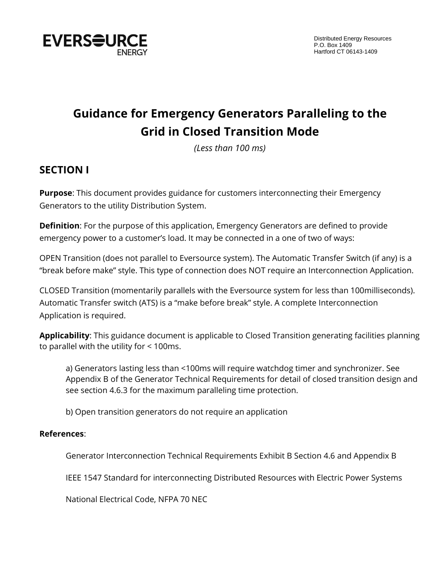

# **Guidance for Emergency Generators Paralleling to the Grid in Closed Transition Mode**

*(Less than 100 ms)*

## **SECTION I**

**Purpose**: This document provides guidance for customers interconnecting their Emergency Generators to the utility Distribution System.

**Definition**: For the purpose of this application, Emergency Generators are defined to provide emergency power to a customer's load. It may be connected in a one of two of ways:

OPEN Transition (does not parallel to Eversource system). The Automatic Transfer Switch (if any) is a "break before make" style. This type of connection does NOT require an Interconnection Application.

CLOSED Transition (momentarily parallels with the Eversource system for less than 100milliseconds). Automatic Transfer switch (ATS) is a "make before break" style. A complete Interconnection Application is required.

**Applicability**: This guidance document is applicable to Closed Transition generating facilities planning to parallel with the utility for < 100ms.

a) Generators lasting less than <100ms will require watchdog timer and synchronizer. See Appendix B of the Generator Technical Requirements for detail of closed transition design and see section 4.6.3 for the maximum paralleling time protection.

b) Open transition generators do not require an application

## **References**:

Generator Interconnection Technical Requirements Exhibit B Section 4.6 and Appendix B

IEEE 1547 Standard for interconnecting Distributed Resources with Electric Power Systems

National Electrical Code, NFPA 70 NEC